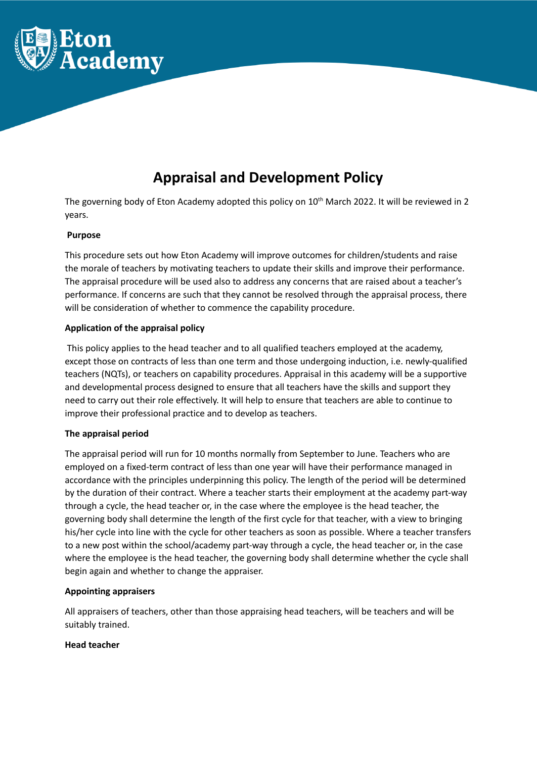

# **Appraisal and Development Policy**

The governing body of Eton Academy adopted this policy on  $10^{th}$  March 2022. It will be reviewed in 2 years.

## **Purpose**

This procedure sets out how Eton Academy will improve outcomes for children/students and raise the morale of teachers by motivating teachers to update their skills and improve their performance. The appraisal procedure will be used also to address any concerns that are raised about a teacher's performance. If concerns are such that they cannot be resolved through the appraisal process, there will be consideration of whether to commence the capability procedure.

# **Application of the appraisal policy**

This policy applies to the head teacher and to all qualified teachers employed at the academy, except those on contracts of less than one term and those undergoing induction, i.e. newly-qualified teachers (NQTs), or teachers on capability procedures. Appraisal in this academy will be a supportive and developmental process designed to ensure that all teachers have the skills and support they need to carry out their role effectively. It will help to ensure that teachers are able to continue to improve their professional practice and to develop as teachers.

## **The appraisal period**

The appraisal period will run for 10 months normally from September to June. Teachers who are employed on a fixed-term contract of less than one year will have their performance managed in accordance with the principles underpinning this policy. The length of the period will be determined by the duration of their contract. Where a teacher starts their employment at the academy part-way through a cycle, the head teacher or, in the case where the employee is the head teacher, the governing body shall determine the length of the first cycle for that teacher, with a view to bringing his/her cycle into line with the cycle for other teachers as soon as possible. Where a teacher transfers to a new post within the school/academy part-way through a cycle, the head teacher or, in the case where the employee is the head teacher, the governing body shall determine whether the cycle shall begin again and whether to change the appraiser.

## **Appointing appraisers**

All appraisers of teachers, other than those appraising head teachers, will be teachers and will be suitably trained.

# **Head teacher**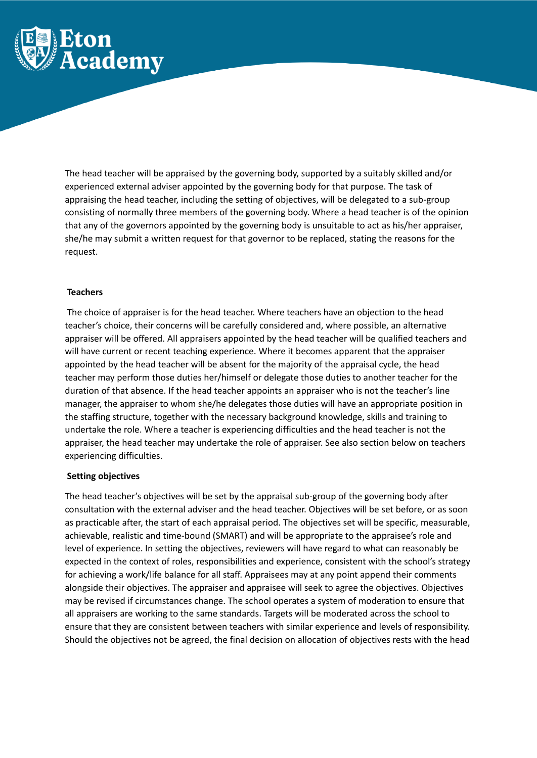

The head teacher will be appraised by the governing body, supported by a suitably skilled and/or experienced external adviser appointed by the governing body for that purpose. The task of appraising the head teacher, including the setting of objectives, will be delegated to a sub-group consisting of normally three members of the governing body. Where a head teacher is of the opinion that any of the governors appointed by the governing body is unsuitable to act as his/her appraiser, she/he may submit a written request for that governor to be replaced, stating the reasons for the request.

## **Teachers**

The choice of appraiser is for the head teacher. Where teachers have an objection to the head teacher's choice, their concerns will be carefully considered and, where possible, an alternative appraiser will be offered. All appraisers appointed by the head teacher will be qualified teachers and will have current or recent teaching experience. Where it becomes apparent that the appraiser appointed by the head teacher will be absent for the majority of the appraisal cycle, the head teacher may perform those duties her/himself or delegate those duties to another teacher for the duration of that absence. If the head teacher appoints an appraiser who is not the teacher's line manager, the appraiser to whom she/he delegates those duties will have an appropriate position in the staffing structure, together with the necessary background knowledge, skills and training to undertake the role. Where a teacher is experiencing difficulties and the head teacher is not the appraiser, the head teacher may undertake the role of appraiser. See also section below on teachers experiencing difficulties.

#### **Setting objectives**

The head teacher's objectives will be set by the appraisal sub-group of the governing body after consultation with the external adviser and the head teacher. Objectives will be set before, or as soon as practicable after, the start of each appraisal period. The objectives set will be specific, measurable, achievable, realistic and time-bound (SMART) and will be appropriate to the appraisee's role and level of experience. In setting the objectives, reviewers will have regard to what can reasonably be expected in the context of roles, responsibilities and experience, consistent with the school's strategy for achieving a work/life balance for all staff. Appraisees may at any point append their comments alongside their objectives. The appraiser and appraisee will seek to agree the objectives. Objectives may be revised if circumstances change. The school operates a system of moderation to ensure that all appraisers are working to the same standards. Targets will be moderated across the school to ensure that they are consistent between teachers with similar experience and levels of responsibility. Should the objectives not be agreed, the final decision on allocation of objectives rests with the head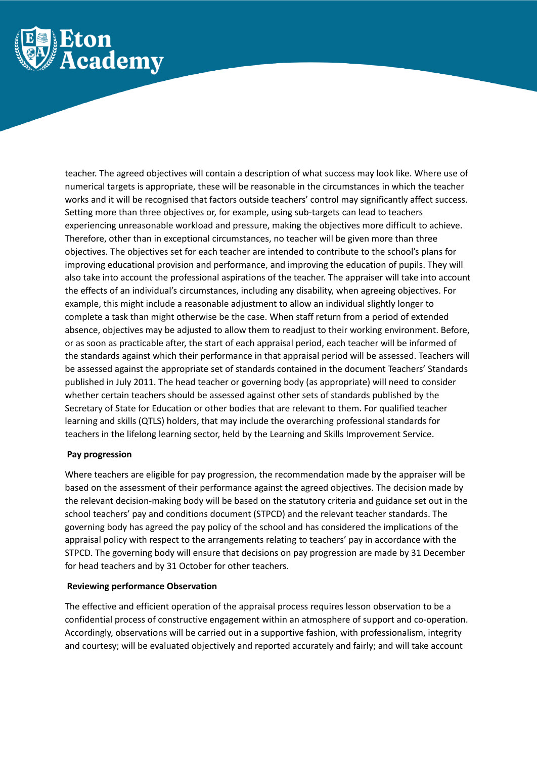

teacher. The agreed objectives will contain a description of what success may look like. Where use of numerical targets is appropriate, these will be reasonable in the circumstances in which the teacher works and it will be recognised that factors outside teachers' control may significantly affect success. Setting more than three objectives or, for example, using sub-targets can lead to teachers experiencing unreasonable workload and pressure, making the objectives more difficult to achieve. Therefore, other than in exceptional circumstances, no teacher will be given more than three objectives. The objectives set for each teacher are intended to contribute to the school's plans for improving educational provision and performance, and improving the education of pupils. They will also take into account the professional aspirations of the teacher. The appraiser will take into account the effects of an individual's circumstances, including any disability, when agreeing objectives. For example, this might include a reasonable adjustment to allow an individual slightly longer to complete a task than might otherwise be the case. When staff return from a period of extended absence, objectives may be adjusted to allow them to readjust to their working environment. Before, or as soon as practicable after, the start of each appraisal period, each teacher will be informed of the standards against which their performance in that appraisal period will be assessed. Teachers will be assessed against the appropriate set of standards contained in the document Teachers' Standards published in July 2011. The head teacher or governing body (as appropriate) will need to consider whether certain teachers should be assessed against other sets of standards published by the Secretary of State for Education or other bodies that are relevant to them. For qualified teacher learning and skills (QTLS) holders, that may include the overarching professional standards for teachers in the lifelong learning sector, held by the Learning and Skills Improvement Service.

## **Pay progression**

Where teachers are eligible for pay progression, the recommendation made by the appraiser will be based on the assessment of their performance against the agreed objectives. The decision made by the relevant decision-making body will be based on the statutory criteria and guidance set out in the school teachers' pay and conditions document (STPCD) and the relevant teacher standards. The governing body has agreed the pay policy of the school and has considered the implications of the appraisal policy with respect to the arrangements relating to teachers' pay in accordance with the STPCD. The governing body will ensure that decisions on pay progression are made by 31 December for head teachers and by 31 October for other teachers.

## **Reviewing performance Observation**

The effective and efficient operation of the appraisal process requires lesson observation to be a confidential process of constructive engagement within an atmosphere of support and co-operation. Accordingly, observations will be carried out in a supportive fashion, with professionalism, integrity and courtesy; will be evaluated objectively and reported accurately and fairly; and will take account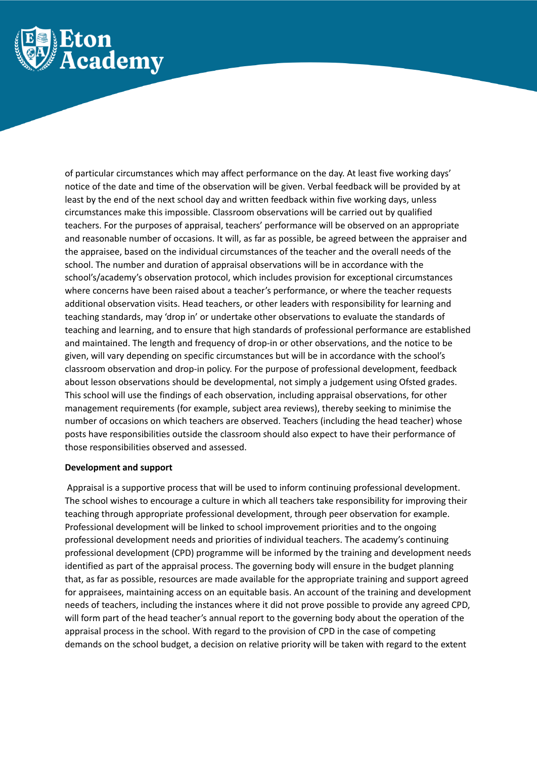

of particular circumstances which may affect performance on the day. At least five working days' notice of the date and time of the observation will be given. Verbal feedback will be provided by at least by the end of the next school day and written feedback within five working days, unless circumstances make this impossible. Classroom observations will be carried out by qualified teachers. For the purposes of appraisal, teachers' performance will be observed on an appropriate and reasonable number of occasions. It will, as far as possible, be agreed between the appraiser and the appraisee, based on the individual circumstances of the teacher and the overall needs of the school. The number and duration of appraisal observations will be in accordance with the school's/academy's observation protocol, which includes provision for exceptional circumstances where concerns have been raised about a teacher's performance, or where the teacher requests additional observation visits. Head teachers, or other leaders with responsibility for learning and teaching standards, may 'drop in' or undertake other observations to evaluate the standards of teaching and learning, and to ensure that high standards of professional performance are established and maintained. The length and frequency of drop-in or other observations, and the notice to be given, will vary depending on specific circumstances but will be in accordance with the school's classroom observation and drop-in policy. For the purpose of professional development, feedback about lesson observations should be developmental, not simply a judgement using Ofsted grades. This school will use the findings of each observation, including appraisal observations, for other management requirements (for example, subject area reviews), thereby seeking to minimise the number of occasions on which teachers are observed. Teachers (including the head teacher) whose posts have responsibilities outside the classroom should also expect to have their performance of those responsibilities observed and assessed.

## **Development and support**

Appraisal is a supportive process that will be used to inform continuing professional development. The school wishes to encourage a culture in which all teachers take responsibility for improving their teaching through appropriate professional development, through peer observation for example. Professional development will be linked to school improvement priorities and to the ongoing professional development needs and priorities of individual teachers. The academy's continuing professional development (CPD) programme will be informed by the training and development needs identified as part of the appraisal process. The governing body will ensure in the budget planning that, as far as possible, resources are made available for the appropriate training and support agreed for appraisees, maintaining access on an equitable basis. An account of the training and development needs of teachers, including the instances where it did not prove possible to provide any agreed CPD, will form part of the head teacher's annual report to the governing body about the operation of the appraisal process in the school. With regard to the provision of CPD in the case of competing demands on the school budget, a decision on relative priority will be taken with regard to the extent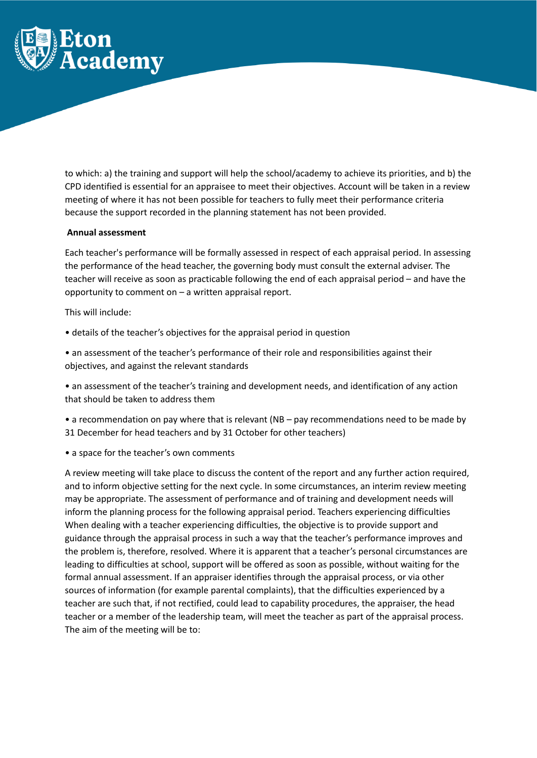

to which: a) the training and support will help the school/academy to achieve its priorities, and b) the CPD identified is essential for an appraisee to meet their objectives. Account will be taken in a review meeting of where it has not been possible for teachers to fully meet their performance criteria because the support recorded in the planning statement has not been provided.

#### **Annual assessment**

Each teacher's performance will be formally assessed in respect of each appraisal period. In assessing the performance of the head teacher, the governing body must consult the external adviser. The teacher will receive as soon as practicable following the end of each appraisal period – and have the opportunity to comment on – a written appraisal report.

#### This will include:

- details of the teacher's objectives for the appraisal period in question
- an assessment of the teacher's performance of their role and responsibilities against their objectives, and against the relevant standards

• an assessment of the teacher's training and development needs, and identification of any action that should be taken to address them

• a recommendation on pay where that is relevant (NB – pay recommendations need to be made by 31 December for head teachers and by 31 October for other teachers)

• a space for the teacher's own comments

A review meeting will take place to discuss the content of the report and any further action required, and to inform objective setting for the next cycle. In some circumstances, an interim review meeting may be appropriate. The assessment of performance and of training and development needs will inform the planning process for the following appraisal period. Teachers experiencing difficulties When dealing with a teacher experiencing difficulties, the objective is to provide support and guidance through the appraisal process in such a way that the teacher's performance improves and the problem is, therefore, resolved. Where it is apparent that a teacher's personal circumstances are leading to difficulties at school, support will be offered as soon as possible, without waiting for the formal annual assessment. If an appraiser identifies through the appraisal process, or via other sources of information (for example parental complaints), that the difficulties experienced by a teacher are such that, if not rectified, could lead to capability procedures, the appraiser, the head teacher or a member of the leadership team, will meet the teacher as part of the appraisal process. The aim of the meeting will be to: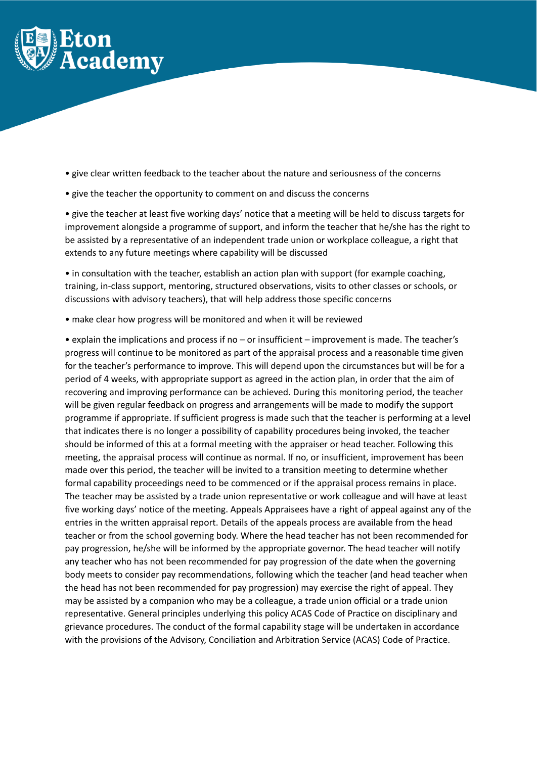

- give clear written feedback to the teacher about the nature and seriousness of the concerns
- give the teacher the opportunity to comment on and discuss the concerns

• give the teacher at least five working days' notice that a meeting will be held to discuss targets for improvement alongside a programme of support, and inform the teacher that he/she has the right to be assisted by a representative of an independent trade union or workplace colleague, a right that extends to any future meetings where capability will be discussed

• in consultation with the teacher, establish an action plan with support (for example coaching, training, in-class support, mentoring, structured observations, visits to other classes or schools, or discussions with advisory teachers), that will help address those specific concerns

• make clear how progress will be monitored and when it will be reviewed

• explain the implications and process if no – or insufficient – improvement is made. The teacher's progress will continue to be monitored as part of the appraisal process and a reasonable time given for the teacher's performance to improve. This will depend upon the circumstances but will be for a period of 4 weeks, with appropriate support as agreed in the action plan, in order that the aim of recovering and improving performance can be achieved. During this monitoring period, the teacher will be given regular feedback on progress and arrangements will be made to modify the support programme if appropriate. If sufficient progress is made such that the teacher is performing at a level that indicates there is no longer a possibility of capability procedures being invoked, the teacher should be informed of this at a formal meeting with the appraiser or head teacher. Following this meeting, the appraisal process will continue as normal. If no, or insufficient, improvement has been made over this period, the teacher will be invited to a transition meeting to determine whether formal capability proceedings need to be commenced or if the appraisal process remains in place. The teacher may be assisted by a trade union representative or work colleague and will have at least five working days' notice of the meeting. Appeals Appraisees have a right of appeal against any of the entries in the written appraisal report. Details of the appeals process are available from the head teacher or from the school governing body. Where the head teacher has not been recommended for pay progression, he/she will be informed by the appropriate governor. The head teacher will notify any teacher who has not been recommended for pay progression of the date when the governing body meets to consider pay recommendations, following which the teacher (and head teacher when the head has not been recommended for pay progression) may exercise the right of appeal. They may be assisted by a companion who may be a colleague, a trade union official or a trade union representative. General principles underlying this policy ACAS Code of Practice on disciplinary and grievance procedures. The conduct of the formal capability stage will be undertaken in accordance with the provisions of the Advisory, Conciliation and Arbitration Service (ACAS) Code of Practice.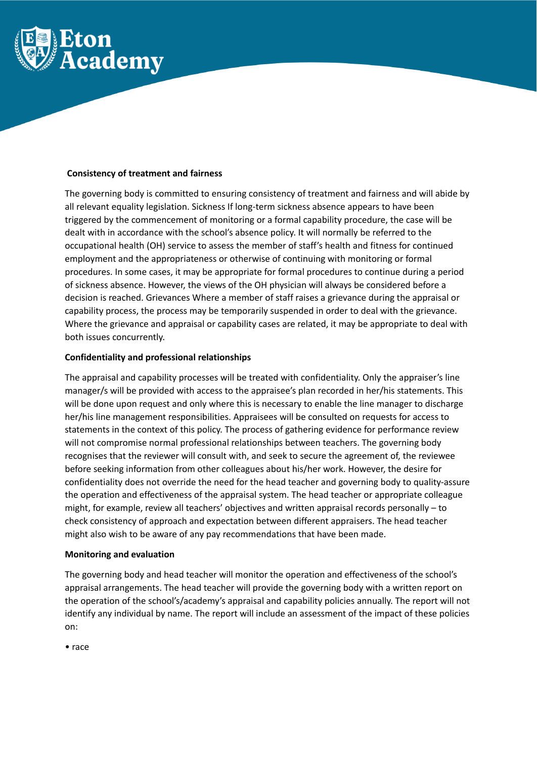

#### **Consistency of treatment and fairness**

The governing body is committed to ensuring consistency of treatment and fairness and will abide by all relevant equality legislation. Sickness If long-term sickness absence appears to have been triggered by the commencement of monitoring or a formal capability procedure, the case will be dealt with in accordance with the school's absence policy. It will normally be referred to the occupational health (OH) service to assess the member of staff's health and fitness for continued employment and the appropriateness or otherwise of continuing with monitoring or formal procedures. In some cases, it may be appropriate for formal procedures to continue during a period of sickness absence. However, the views of the OH physician will always be considered before a decision is reached. Grievances Where a member of staff raises a grievance during the appraisal or capability process, the process may be temporarily suspended in order to deal with the grievance. Where the grievance and appraisal or capability cases are related, it may be appropriate to deal with both issues concurrently.

#### **Confidentiality and professional relationships**

The appraisal and capability processes will be treated with confidentiality. Only the appraiser's line manager/s will be provided with access to the appraisee's plan recorded in her/his statements. This will be done upon request and only where this is necessary to enable the line manager to discharge her/his line management responsibilities. Appraisees will be consulted on requests for access to statements in the context of this policy. The process of gathering evidence for performance review will not compromise normal professional relationships between teachers. The governing body recognises that the reviewer will consult with, and seek to secure the agreement of, the reviewee before seeking information from other colleagues about his/her work. However, the desire for confidentiality does not override the need for the head teacher and governing body to quality-assure the operation and effectiveness of the appraisal system. The head teacher or appropriate colleague might, for example, review all teachers' objectives and written appraisal records personally – to check consistency of approach and expectation between different appraisers. The head teacher might also wish to be aware of any pay recommendations that have been made.

#### **Monitoring and evaluation**

The governing body and head teacher will monitor the operation and effectiveness of the school's appraisal arrangements. The head teacher will provide the governing body with a written report on the operation of the school's/academy's appraisal and capability policies annually. The report will not identify any individual by name. The report will include an assessment of the impact of these policies on:

• race